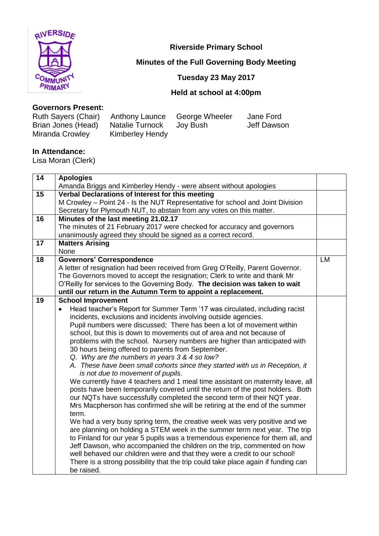

**Riverside Primary School**

# **Minutes of the Full Governing Body Meeting**

# **Tuesday 23 May 2017**

# **Held at school at 4:00pm**

#### **Governors Present:**

| Ruth Sayers (Chair) Anthony Launce |                 | George Wheeler | Jane Ford   |
|------------------------------------|-----------------|----------------|-------------|
| Brian Jones (Head)                 | Natalie Turnock | Joy Bush       | Jeff Dawson |
| Miranda Crowley                    | Kimberley Hendy |                |             |

#### **In Attendance:**

Lisa Moran (Clerk)

| Amanda Briggs and Kimberley Hendy - were absent without apologies<br>15<br>Verbal Declarations of Interest for this meeting<br>M Crowley - Point 24 - Is the NUT Representative for school and Joint Division<br>Secretary for Plymouth NUT, to abstain from any votes on this matter.<br>16<br>Minutes of the last meeting 21.02.17<br>The minutes of 21 February 2017 were checked for accuracy and governors | LM |
|-----------------------------------------------------------------------------------------------------------------------------------------------------------------------------------------------------------------------------------------------------------------------------------------------------------------------------------------------------------------------------------------------------------------|----|
|                                                                                                                                                                                                                                                                                                                                                                                                                 |    |
|                                                                                                                                                                                                                                                                                                                                                                                                                 |    |
|                                                                                                                                                                                                                                                                                                                                                                                                                 |    |
|                                                                                                                                                                                                                                                                                                                                                                                                                 |    |
|                                                                                                                                                                                                                                                                                                                                                                                                                 |    |
|                                                                                                                                                                                                                                                                                                                                                                                                                 |    |
| unanimously agreed they should be signed as a correct record.                                                                                                                                                                                                                                                                                                                                                   |    |
| 17<br><b>Matters Arising</b>                                                                                                                                                                                                                                                                                                                                                                                    |    |
| None                                                                                                                                                                                                                                                                                                                                                                                                            |    |
| <b>Governors' Correspondence</b><br>18                                                                                                                                                                                                                                                                                                                                                                          |    |
| A letter of resignation had been received from Greg O'Reilly, Parent Governor.                                                                                                                                                                                                                                                                                                                                  |    |
| The Governors moved to accept the resignation; Clerk to write and thank Mr                                                                                                                                                                                                                                                                                                                                      |    |
| O'Reilly for services to the Governing Body. The decision was taken to wait                                                                                                                                                                                                                                                                                                                                     |    |
| until our return in the Autumn Term to appoint a replacement.                                                                                                                                                                                                                                                                                                                                                   |    |
| 19<br><b>School Improvement</b>                                                                                                                                                                                                                                                                                                                                                                                 |    |
| Head teacher's Report for Summer Term '17 was circulated, including racist                                                                                                                                                                                                                                                                                                                                      |    |
| incidents, exclusions and incidents involving outside agencies.                                                                                                                                                                                                                                                                                                                                                 |    |
| Pupil numbers were discussed; There has been a lot of movement within                                                                                                                                                                                                                                                                                                                                           |    |
| school, but this is down to movements out of area and not because of                                                                                                                                                                                                                                                                                                                                            |    |
| problems with the school. Nursery numbers are higher than anticipated with                                                                                                                                                                                                                                                                                                                                      |    |
| 30 hours being offered to parents from September.                                                                                                                                                                                                                                                                                                                                                               |    |
| Q. Why are the numbers in years 3 & 4 so low?                                                                                                                                                                                                                                                                                                                                                                   |    |
| A. These have been small cohorts since they started with us in Reception, it                                                                                                                                                                                                                                                                                                                                    |    |
| is not due to movement of pupils.                                                                                                                                                                                                                                                                                                                                                                               |    |
| We currently have 4 teachers and 1 meal time assistant on maternity leave, all                                                                                                                                                                                                                                                                                                                                  |    |
| posts have been temporarily covered until the return of the post holders. Both                                                                                                                                                                                                                                                                                                                                  |    |
| our NQTs have successfully completed the second term of their NQT year.                                                                                                                                                                                                                                                                                                                                         |    |
| Mrs Macpherson has confirmed she will be retiring at the end of the summer                                                                                                                                                                                                                                                                                                                                      |    |
| term.                                                                                                                                                                                                                                                                                                                                                                                                           |    |
| We had a very busy spring term, the creative week was very positive and we                                                                                                                                                                                                                                                                                                                                      |    |
| are planning on holding a STEM week in the summer term next year. The trip                                                                                                                                                                                                                                                                                                                                      |    |
| to Finland for our year 5 pupils was a tremendous experience for them all, and                                                                                                                                                                                                                                                                                                                                  |    |
| Jeff Dawson, who accompanied the children on the trip, commented on how                                                                                                                                                                                                                                                                                                                                         |    |
| well behaved our children were and that they were a credit to our school!                                                                                                                                                                                                                                                                                                                                       |    |
| There is a strong possibility that the trip could take place again if funding can                                                                                                                                                                                                                                                                                                                               |    |
| be raised.                                                                                                                                                                                                                                                                                                                                                                                                      |    |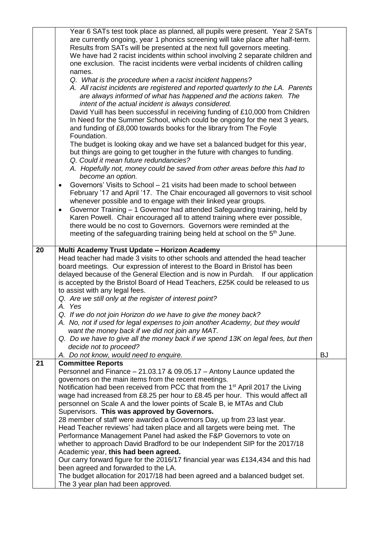|    | Year 6 SATs test took place as planned, all pupils were present. Year 2 SATs<br>are currently ongoing, year 1 phonics screening will take place after half-term.<br>Results from SATs will be presented at the next full governors meeting.<br>We have had 2 racist incidents within school involving 2 separate children and<br>one exclusion. The racist incidents were verbal incidents of children calling |           |
|----|----------------------------------------------------------------------------------------------------------------------------------------------------------------------------------------------------------------------------------------------------------------------------------------------------------------------------------------------------------------------------------------------------------------|-----------|
|    | names.<br>Q. What is the procedure when a racist incident happens?<br>A. All racist incidents are registered and reported quarterly to the LA. Parents<br>are always informed of what has happened and the actions taken. The<br>intent of the actual incident is always considered.                                                                                                                           |           |
|    | David Yuill has been successful in receiving funding of £10,000 from Children<br>In Need for the Summer School, which could be ongoing for the next 3 years,<br>and funding of £8,000 towards books for the library from The Foyle<br>Foundation.                                                                                                                                                              |           |
|    | The budget is looking okay and we have set a balanced budget for this year,<br>but things are going to get tougher in the future with changes to funding.<br>Q. Could it mean future redundancies?                                                                                                                                                                                                             |           |
|    | A. Hopefully not, money could be saved from other areas before this had to<br>become an option.                                                                                                                                                                                                                                                                                                                |           |
|    | Governors' Visits to School – 21 visits had been made to school between<br>$\bullet$<br>February '17 and April '17. The Chair encouraged all governors to visit school<br>whenever possible and to engage with their linked year groups.                                                                                                                                                                       |           |
|    | Governor Training - 1 Governor had attended Safeguarding training, held by<br>$\bullet$<br>Karen Powell. Chair encouraged all to attend training where ever possible,<br>there would be no cost to Governors. Governors were reminded at the                                                                                                                                                                   |           |
|    | meeting of the safeguarding training being held at school on the 5 <sup>th</sup> June.                                                                                                                                                                                                                                                                                                                         |           |
| 20 | Multi Academy Trust Update - Horizon Academy                                                                                                                                                                                                                                                                                                                                                                   |           |
|    | Head teacher had made 3 visits to other schools and attended the head teacher<br>board meetings. Our expression of interest to the Board in Bristol has been<br>delayed because of the General Election and is now in Purdah. If our application<br>is accepted by the Bristol Board of Head Teachers, £25K could be released to us<br>to assist with any legal fees.                                          |           |
|    | Q. Are we still only at the register of interest point?<br>A. Yes                                                                                                                                                                                                                                                                                                                                              |           |
|    | Q. If we do not join Horizon do we have to give the money back?<br>A. No, not if used for legal expenses to join another Academy, but they would<br>want the money back if we did not join any MAT.                                                                                                                                                                                                            |           |
|    | Q. Do we have to give all the money back if we spend 13K on legal fees, but then<br>decide not to proceed?                                                                                                                                                                                                                                                                                                     |           |
| 21 | A. Do not know, would need to enquire.<br><b>Committee Reports</b>                                                                                                                                                                                                                                                                                                                                             | <b>BJ</b> |
|    | Personnel and Finance - 21.03.17 & 09.05.17 - Antony Launce updated the                                                                                                                                                                                                                                                                                                                                        |           |
|    | governors on the main items from the recent meetings.                                                                                                                                                                                                                                                                                                                                                          |           |
|    | Notification had been received from PCC that from the 1 <sup>st</sup> April 2017 the Living<br>wage had increased from £8.25 per hour to £8.45 per hour. This would affect all                                                                                                                                                                                                                                 |           |
|    | personnel on Scale A and the lower points of Scale B, ie MTAs and Club                                                                                                                                                                                                                                                                                                                                         |           |
|    | Supervisors. This was approved by Governors.                                                                                                                                                                                                                                                                                                                                                                   |           |
|    | 28 member of staff were awarded a Governors Day, up from 23 last year.                                                                                                                                                                                                                                                                                                                                         |           |
|    | Head Teacher reviews' had taken place and all targets were being met. The<br>Performance Management Panel had asked the F&P Governors to vote on                                                                                                                                                                                                                                                               |           |
|    | whether to approach David Bradford to be our Independent SIP for the 2017/18                                                                                                                                                                                                                                                                                                                                   |           |
|    | Academic year, this had been agreed.                                                                                                                                                                                                                                                                                                                                                                           |           |
|    | Our carry forward figure for the 2016/17 financial year was £134,434 and this had                                                                                                                                                                                                                                                                                                                              |           |
|    | been agreed and forwarded to the LA.<br>The budget allocation for 2017/18 had been agreed and a balanced budget set.                                                                                                                                                                                                                                                                                           |           |
|    | The 3 year plan had been approved.                                                                                                                                                                                                                                                                                                                                                                             |           |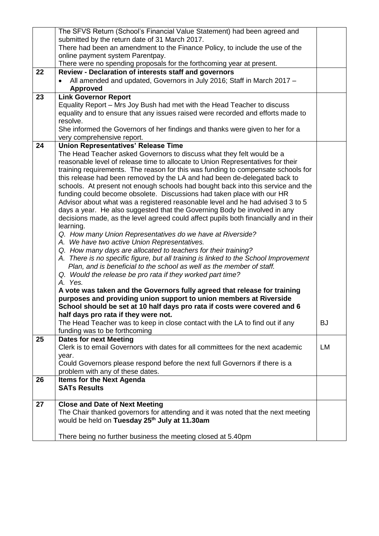|    | The SFVS Return (School's Financial Value Statement) had been agreed and              |           |
|----|---------------------------------------------------------------------------------------|-----------|
|    | submitted by the return date of 31 March 2017.                                        |           |
|    | There had been an amendment to the Finance Policy, to include the use of the          |           |
|    | online payment system Parentpay.                                                      |           |
|    | There were no spending proposals for the forthcoming year at present.                 |           |
| 22 | Review - Declaration of interests staff and governors                                 |           |
|    | All amended and updated, Governors in July 2016; Staff in March 2017 -                |           |
|    | <b>Approved</b>                                                                       |           |
| 23 | <b>Link Governor Report</b>                                                           |           |
|    | Equality Report – Mrs Joy Bush had met with the Head Teacher to discuss               |           |
|    | equality and to ensure that any issues raised were recorded and efforts made to       |           |
|    | resolve.                                                                              |           |
|    | She informed the Governors of her findings and thanks were given to her for a         |           |
|    | very comprehensive report.                                                            |           |
| 24 | <b>Union Representatives' Release Time</b>                                            |           |
|    | The Head Teacher asked Governors to discuss what they felt would be a                 |           |
|    | reasonable level of release time to allocate to Union Representatives for their       |           |
|    | training requirements. The reason for this was funding to compensate schools for      |           |
|    | this release had been removed by the LA and had been de-delegated back to             |           |
|    | schools. At present not enough schools had bought back into this service and the      |           |
|    | funding could become obsolete. Discussions had taken place with our HR                |           |
|    | Advisor about what was a registered reasonable level and he had advised 3 to 5        |           |
|    | days a year. He also suggested that the Governing Body be involved in any             |           |
|    | decisions made, as the level agreed could affect pupils both financially and in their |           |
|    | learning.                                                                             |           |
|    | Q. How many Union Representatives do we have at Riverside?                            |           |
|    | A. We have two active Union Representatives.                                          |           |
|    | Q. How many days are allocated to teachers for their training?                        |           |
|    | A. There is no specific figure, but all training is linked to the School Improvement  |           |
|    | Plan, and is beneficial to the school as well as the member of staff.                 |           |
|    | Q. Would the release be pro rata if they worked part time?                            |           |
|    | A. Yes.                                                                               |           |
|    | A vote was taken and the Governors fully agreed that release for training             |           |
|    | purposes and providing union support to union members at Riverside                    |           |
|    | School should be set at 10 half days pro rata if costs were covered and 6             |           |
|    | half days pro rata if they were not.                                                  |           |
|    | The Head Teacher was to keep in close contact with the LA to find out if any          | <b>BJ</b> |
|    | funding was to be forthcoming                                                         |           |
| 25 | <b>Dates for next Meeting</b>                                                         |           |
|    | Clerk is to email Governors with dates for all committees for the next academic       | LM        |
|    | year.                                                                                 |           |
|    | Could Governors please respond before the next full Governors if there is a           |           |
|    | problem with any of these dates.                                                      |           |
| 26 | <b>Items for the Next Agenda</b>                                                      |           |
|    | <b>SATs Results</b>                                                                   |           |
|    |                                                                                       |           |
| 27 | <b>Close and Date of Next Meeting</b>                                                 |           |
|    | The Chair thanked governors for attending and it was noted that the next meeting      |           |
|    | would be held on Tuesday 25th July at 11.30am                                         |           |
|    |                                                                                       |           |
|    | There being no further business the meeting closed at 5.40pm                          |           |